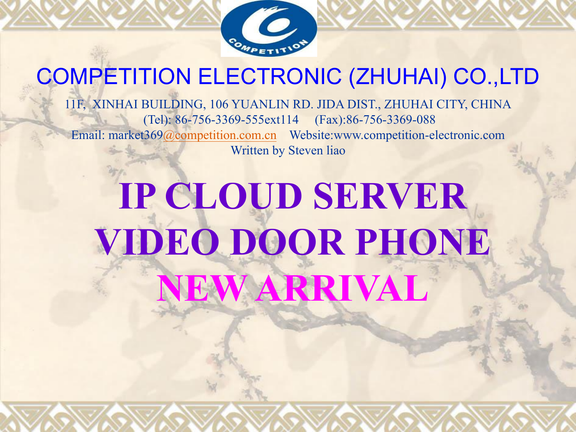

### COMPETITION ELECTRONIC (ZHUHAI) CO.,LTD

11F, XINHAI BUILDING, 106 YUANLIN RD. JIDA DIST., ZHUHAI CITY, CHINA (Tel): 86-756-3369-555ext114 (Fax):86-756-3369-088 Email: market369@competition.com.cn Website:www.competition-electronic.com Written by Steven liao

# **IP CLOUD SERVER VIDEO DOOR PHONE NEW ARRIVAL**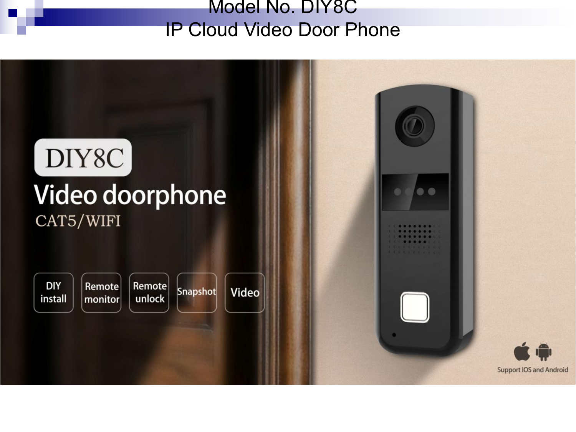#### Model No. DIY8C IP Cloud Video Door Phone

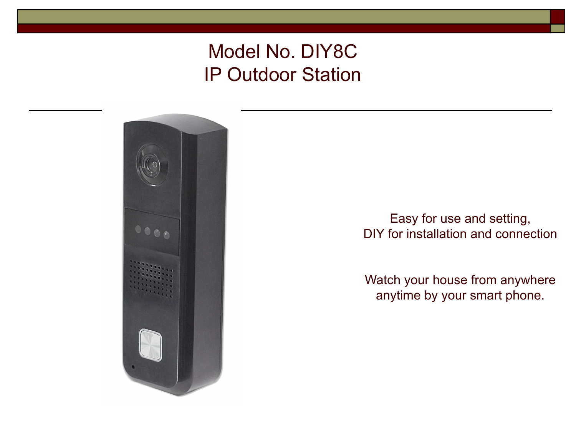### Model No. DIY8C IP Outdoor Station



Watch your house from anywhere Easy for use and setting,<br>DIY for installation and connection<br>Watch your house from anywhere<br>anytime by your smart phone.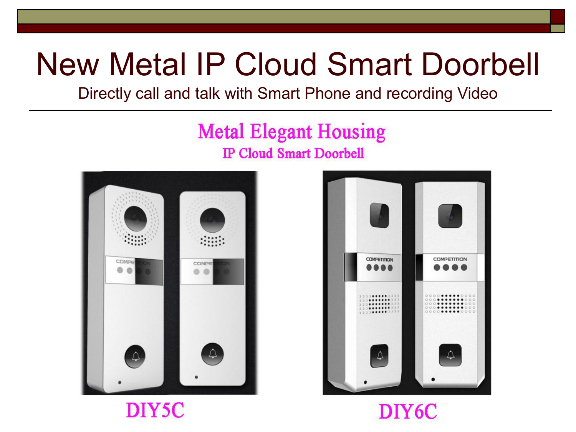### New Metal IP Cloud Smart Doorbell

Directly call and talk with Smart Phone and recording Video

### **Metal Elegant Housing IP Cloud Smart Doorbell**





DIY6C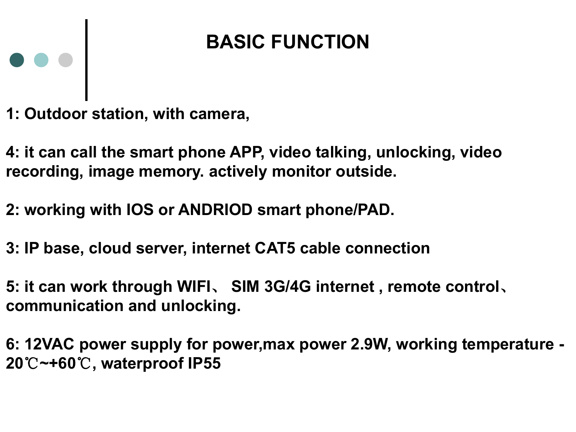### **BASIC FUNCTION**

**1: Outdoor station, with camera,**

 $\bullet \bullet \bullet$ 

- **4: it can call the smart phone APP, video talking, unlocking, video recording, image memory. actively monitor outside.**
- **2: working with IOS or ANDRIOD smart phone/PAD.**
- **3: IP base, cloud server, internet CAT5 cable connection**
- **5: it can work through WIFI**、 **SIM 3G/4G internet , remote control**、 **communication and unlocking.**
- **6: 12VAC power supply for power,max power2.9W, working temperature - 20**℃**~+60**℃**, waterproof IP55**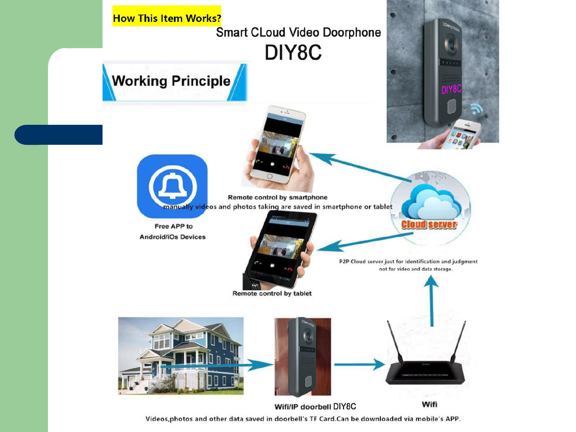

Videos, photos and other data saved in doorbell's TF Card.Can be downloaded via mobile's APP.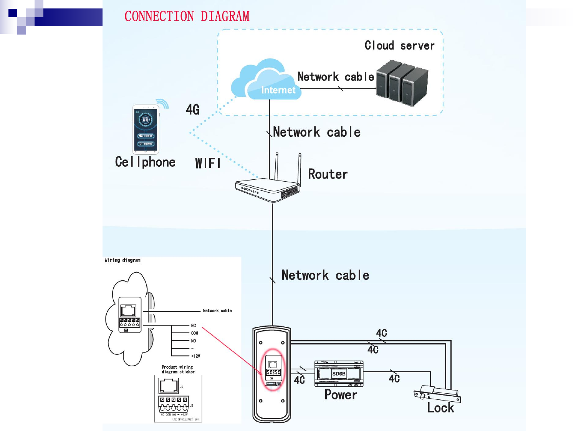CONNECTION DIAGRAM

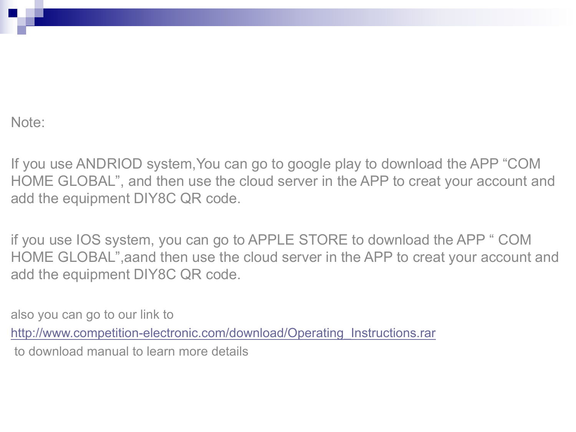Note:

If you use ANDRIOD system,You can go to google play to download the APP "COM HOME GLOBAL", and then use the cloud server in the APP to creat your account and add the equipment DIY8C QR code.

if you use IOS system, you can go to APPLE STORE to download the APP " COM HOME GLOBAL",aand then use the cloud server in the APP to creat your account and add the equipment DIY8C QR code.

also you can go to our link to http://www.competition-electronic.com/download/Operating\_Instructions.rar to download manual to learn more details